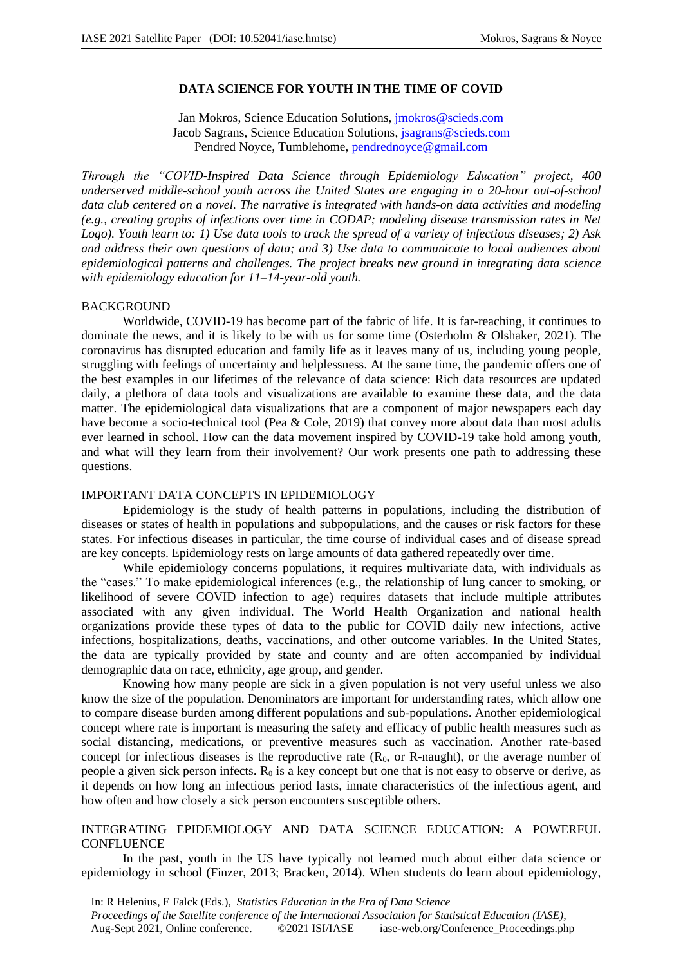# **DATA SCIENCE FOR YOUTH IN THE TIME OF COVID**

Jan Mokros, Science Education Solutions, *jmokros@scieds.com* Jacob Sagrans, Science Education Solutions, jsagrans@scieds.com Pendred Noyce, Tumblehome, pendrednoyce@gmail.com

*Through the "COVID-Inspired Data Science through Epidemiology Education" project, 400 underserved middle-school youth across the United States are engaging in a 20-hour out-of-school data club centered on a novel. The narrative is integrated with hands-on data activities and modeling (e.g., creating graphs of infections over time in CODAP; modeling disease transmission rates in Net Logo). Youth learn to: 1) Use data tools to track the spread of a variety of infectious diseases; 2) Ask and address their own questions of data; and 3) Use data to communicate to local audiences about epidemiological patterns and challenges. The project breaks new ground in integrating data science with epidemiology education for 11–14-year-old youth.*

#### BACKGROUND

Worldwide, COVID-19 has become part of the fabric of life. It is far-reaching, it continues to dominate the news, and it is likely to be with us for some time (Osterholm & Olshaker, 2021). The coronavirus has disrupted education and family life as it leaves many of us, including young people, struggling with feelings of uncertainty and helplessness. At the same time, the pandemic offers one of the best examples in our lifetimes of the relevance of data science: Rich data resources are updated daily, a plethora of data tools and visualizations are available to examine these data, and the data matter. The epidemiological data visualizations that are a component of major newspapers each day have become a socio-technical tool (Pea & Cole, 2019) that convey more about data than most adults ever learned in school. How can the data movement inspired by COVID-19 take hold among youth, and what will they learn from their involvement? Our work presents one path to addressing these questions.

# IMPORTANT DATA CONCEPTS IN EPIDEMIOLOGY

Epidemiology is the study of health patterns in populations, including the distribution of diseases or states of health in populations and subpopulations, and the causes or risk factors for these states. For infectious diseases in particular, the time course of individual cases and of disease spread are key concepts. Epidemiology rests on large amounts of data gathered repeatedly over time.

While epidemiology concerns populations, it requires multivariate data, with individuals as the "cases." To make epidemiological inferences (e.g., the relationship of lung cancer to smoking, or likelihood of severe COVID infection to age) requires datasets that include multiple attributes associated with any given individual. The World Health Organization and national health organizations provide these types of data to the public for COVID daily new infections, active infections, hospitalizations, deaths, vaccinations, and other outcome variables. In the United States, the data are typically provided by state and county and are often accompanied by individual demographic data on race, ethnicity, age group, and gender.

Knowing how many people are sick in a given population is not very useful unless we also know the size of the population. Denominators are important for understanding rates, which allow one to compare disease burden among different populations and sub-populations. Another epidemiological concept where rate is important is measuring the safety and efficacy of public health measures such as social distancing, medications, or preventive measures such as vaccination. Another rate-based concept for infectious diseases is the reproductive rate  $(R_0, \text{ or } R\text{-naught})$ , or the average number of people a given sick person infects.  $R_0$  is a key concept but one that is not easy to observe or derive, as it depends on how long an infectious period lasts, innate characteristics of the infectious agent, and how often and how closely a sick person encounters susceptible others.

# INTEGRATING EPIDEMIOLOGY AND DATA SCIENCE EDUCATION: A POWERFUL **CONFLUENCE**

In the past, youth in the US have typically not learned much about either data science or epidemiology in school (Finzer, 2013; Bracken, 2014). When students do learn about epidemiology,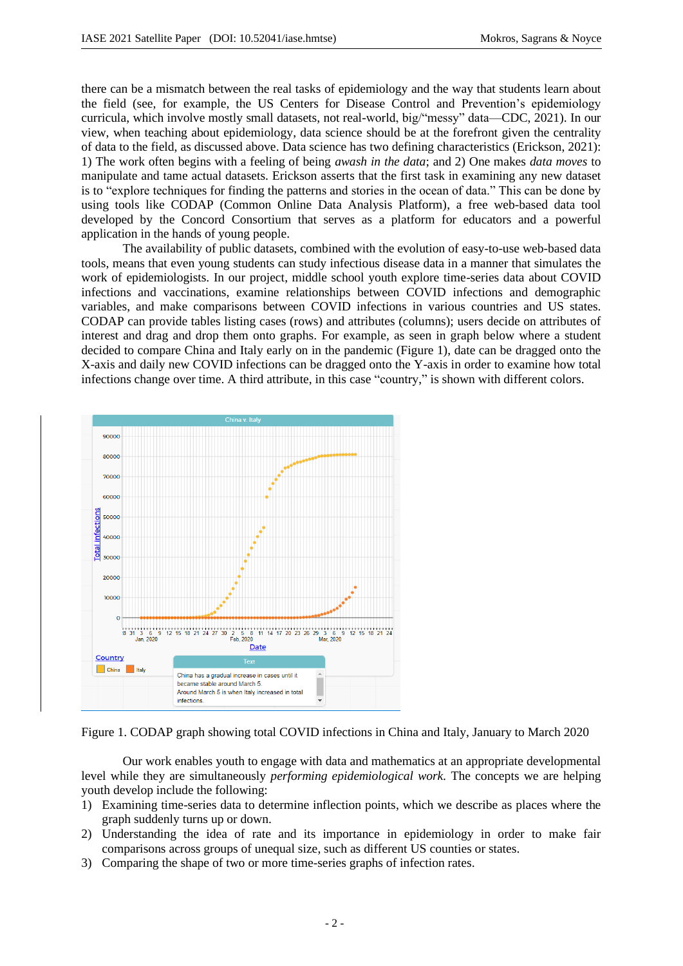there can be a mismatch between the real tasks of epidemiology and the way that students learn about the field (see, for example, the US Centers for Disease Control and Prevention's epidemiology curricula, which involve mostly small datasets, not real-world, big/"messy" data—CDC, 2021). In our view, when teaching about epidemiology, data science should be at the forefront given the centrality of data to the field, as discussed above. Data science has two defining characteristics (Erickson, 2021): 1) The work often begins with a feeling of being *awash in the data*; and 2) One makes *data moves* to manipulate and tame actual datasets. Erickson asserts that the first task in examining any new dataset is to "explore techniques for finding the patterns and stories in the ocean of data." This can be done by using tools like CODAP (Common Online Data Analysis Platform), a free web-based data tool developed by the Concord Consortium that serves as a platform for educators and a powerful application in the hands of young people.

The availability of public datasets, combined with the evolution of easy-to-use web-based data tools, means that even young students can study infectious disease data in a manner that simulates the work of epidemiologists. In our project, middle school youth explore time-series data about COVID infections and vaccinations, examine relationships between COVID infections and demographic variables, and make comparisons between COVID infections in various countries and US states. CODAP can provide tables listing cases (rows) and attributes (columns); users decide on attributes of interest and drag and drop them onto graphs. For example, as seen in graph below where a student decided to compare China and Italy early on in the pandemic (Figure 1), date can be dragged onto the X-axis and daily new COVID infections can be dragged onto the Y-axis in order to examine how total infections change over time. A third attribute, in this case "country," is shown with different colors.



Figure 1. CODAP graph showing total COVID infections in China and Italy, January to March 2020

Our work enables youth to engage with data and mathematics at an appropriate developmental level while they are simultaneously *performing epidemiological work.* The concepts we are helping youth develop include the following:

- 1) Examining time-series data to determine inflection points, which we describe as places where the graph suddenly turns up or down.
- 2) Understanding the idea of rate and its importance in epidemiology in order to make fair comparisons across groups of unequal size, such as different US counties or states.
- 3) Comparing the shape of two or more time-series graphs of infection rates.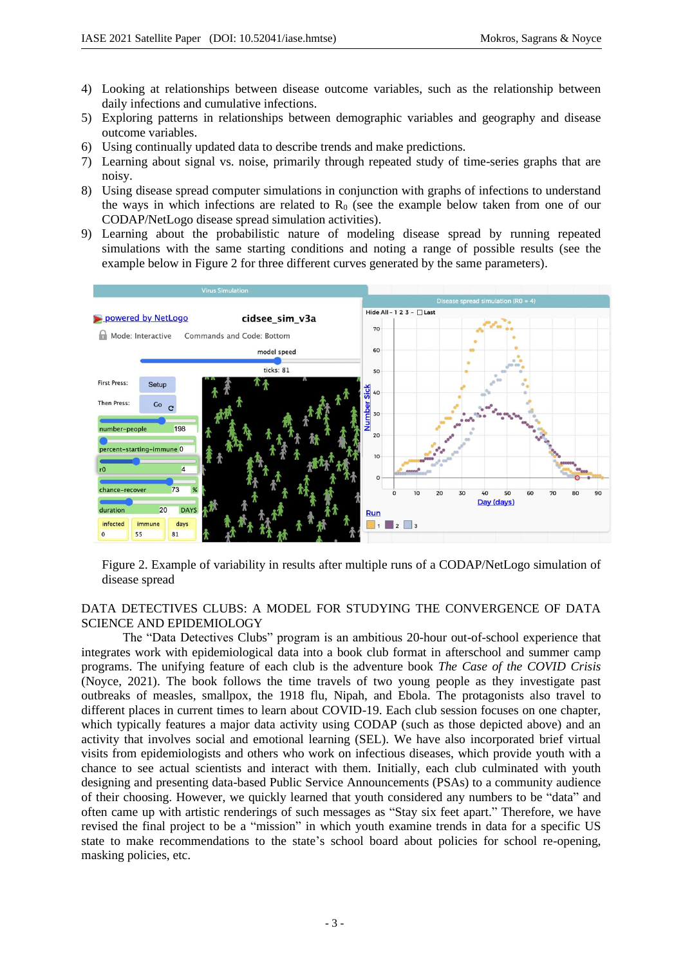- 4) Looking at relationships between disease outcome variables, such as the relationship between daily infections and cumulative infections.
- 5) Exploring patterns in relationships between demographic variables and geography and disease outcome variables.
- 6) Using continually updated data to describe trends and make predictions.
- 7) Learning about signal vs. noise, primarily through repeated study of time-series graphs that are noisy.
- 8) Using disease spread computer simulations in conjunction with graphs of infections to understand the ways in which infections are related to  $R_0$  (see the example below taken from one of our CODAP/NetLogo disease spread simulation activities).
- 9) Learning about the probabilistic nature of modeling disease spread by running repeated simulations with the same starting conditions and noting a range of possible results (see the example below in Figure 2 for three different curves generated by the same parameters).



Figure 2. Example of variability in results after multiple runs of a CODAP/NetLogo simulation of disease spread

# DATA DETECTIVES CLUBS: A MODEL FOR STUDYING THE CONVERGENCE OF DATA SCIENCE AND EPIDEMIOLOGY

The "Data Detectives Clubs" program is an ambitious 20-hour out-of-school experience that integrates work with epidemiological data into a book club format in afterschool and summer camp programs. The unifying feature of each club is the adventure book *The Case of the COVID Crisis* (Noyce, 2021). The book follows the time travels of two young people as they investigate past outbreaks of measles, smallpox, the 1918 flu, Nipah, and Ebola. The protagonists also travel to different places in current times to learn about COVID-19. Each club session focuses on one chapter, which typically features a major data activity using CODAP (such as those depicted above) and an activity that involves social and emotional learning (SEL). We have also incorporated brief virtual visits from epidemiologists and others who work on infectious diseases, which provide youth with a chance to see actual scientists and interact with them. Initially, each club culminated with youth designing and presenting data-based Public Service Announcements (PSAs) to a community audience of their choosing. However, we quickly learned that youth considered any numbers to be "data" and often came up with artistic renderings of such messages as "Stay six feet apart." Therefore, we have revised the final project to be a "mission" in which youth examine trends in data for a specific US state to make recommendations to the state's school board about policies for school re-opening, masking policies, etc.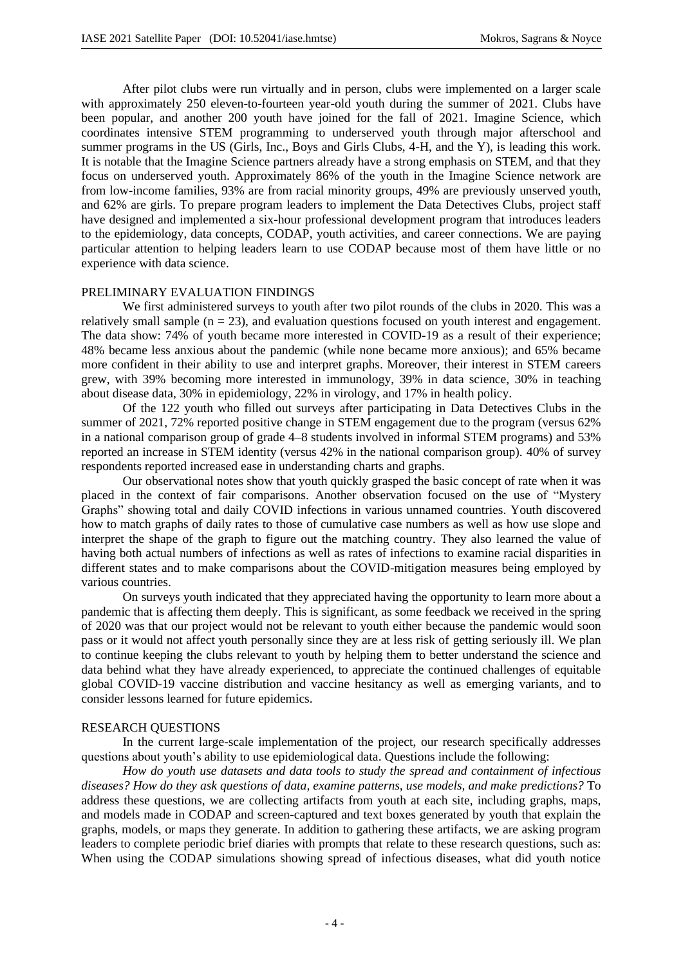After pilot clubs were run virtually and in person, clubs were implemented on a larger scale with approximately 250 eleven-to-fourteen year-old youth during the summer of 2021. Clubs have been popular, and another 200 youth have joined for the fall of 2021. Imagine Science, which coordinates intensive STEM programming to underserved youth through major afterschool and summer programs in the US (Girls, Inc., Boys and Girls Clubs, 4-H, and the Y), is leading this work. It is notable that the Imagine Science partners already have a strong emphasis on STEM, and that they focus on underserved youth. Approximately 86% of the youth in the Imagine Science network are from low-income families, 93% are from racial minority groups, 49% are previously unserved youth, and 62% are girls. To prepare program leaders to implement the Data Detectives Clubs, project staff have designed and implemented a six-hour professional development program that introduces leaders to the epidemiology, data concepts, CODAP, youth activities, and career connections. We are paying particular attention to helping leaders learn to use CODAP because most of them have little or no experience with data science.

#### PRELIMINARY EVALUATION FINDINGS

We first administered surveys to youth after two pilot rounds of the clubs in 2020. This was a relatively small sample ( $n = 23$ ), and evaluation questions focused on youth interest and engagement. The data show: 74% of youth became more interested in COVID-19 as a result of their experience; 48% became less anxious about the pandemic (while none became more anxious); and 65% became more confident in their ability to use and interpret graphs. Moreover, their interest in STEM careers grew, with 39% becoming more interested in immunology, 39% in data science, 30% in teaching about disease data, 30% in epidemiology, 22% in virology, and 17% in health policy.

Of the 122 youth who filled out surveys after participating in Data Detectives Clubs in the summer of 2021, 72% reported positive change in STEM engagement due to the program (versus 62% in a national comparison group of grade 4–8 students involved in informal STEM programs) and 53% reported an increase in STEM identity (versus 42% in the national comparison group). 40% of survey respondents reported increased ease in understanding charts and graphs.

Our observational notes show that youth quickly grasped the basic concept of rate when it was placed in the context of fair comparisons. Another observation focused on the use of "Mystery Graphs" showing total and daily COVID infections in various unnamed countries. Youth discovered how to match graphs of daily rates to those of cumulative case numbers as well as how use slope and interpret the shape of the graph to figure out the matching country. They also learned the value of having both actual numbers of infections as well as rates of infections to examine racial disparities in different states and to make comparisons about the COVID-mitigation measures being employed by various countries.

On surveys youth indicated that they appreciated having the opportunity to learn more about a pandemic that is affecting them deeply. This is significant, as some feedback we received in the spring of 2020 was that our project would not be relevant to youth either because the pandemic would soon pass or it would not affect youth personally since they are at less risk of getting seriously ill. We plan to continue keeping the clubs relevant to youth by helping them to better understand the science and data behind what they have already experienced, to appreciate the continued challenges of equitable global COVID-19 vaccine distribution and vaccine hesitancy as well as emerging variants, and to consider lessons learned for future epidemics.

#### RESEARCH QUESTIONS

In the current large-scale implementation of the project, our research specifically addresses questions about youth's ability to use epidemiological data. Questions include the following:

*How do youth use datasets and data tools to study the spread and containment of infectious diseases? How do they ask questions of data, examine patterns, use models, and make predictions?* To address these questions, we are collecting artifacts from youth at each site, including graphs, maps, and models made in CODAP and screen-captured and text boxes generated by youth that explain the graphs, models, or maps they generate. In addition to gathering these artifacts, we are asking program leaders to complete periodic brief diaries with prompts that relate to these research questions, such as: When using the CODAP simulations showing spread of infectious diseases, what did youth notice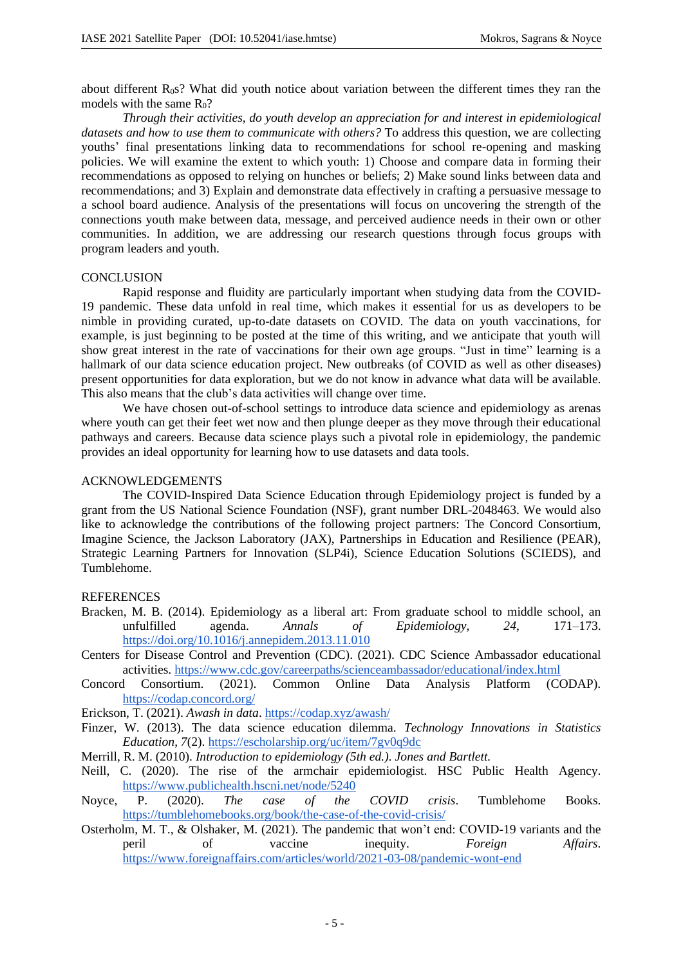about different  $R_0s$ ? What did youth notice about variation between the different times they ran the models with the same  $R_0$ ?

*Through their activities, do youth develop an appreciation for and interest in epidemiological datasets and how to use them to communicate with others?* To address this question, we are collecting youths' final presentations linking data to recommendations for school re-opening and masking policies. We will examine the extent to which youth: 1) Choose and compare data in forming their recommendations as opposed to relying on hunches or beliefs; 2) Make sound links between data and recommendations; and 3) Explain and demonstrate data effectively in crafting a persuasive message to a school board audience. Analysis of the presentations will focus on uncovering the strength of the connections youth make between data, message, and perceived audience needs in their own or other communities. In addition, we are addressing our research questions through focus groups with program leaders and youth.

# **CONCLUSION**

Rapid response and fluidity are particularly important when studying data from the COVID-19 pandemic. These data unfold in real time, which makes it essential for us as developers to be nimble in providing curated, up-to-date datasets on COVID. The data on youth vaccinations, for example, is just beginning to be posted at the time of this writing, and we anticipate that youth will show great interest in the rate of vaccinations for their own age groups. "Just in time" learning is a hallmark of our data science education project. New outbreaks (of COVID as well as other diseases) present opportunities for data exploration, but we do not know in advance what data will be available. This also means that the club's data activities will change over time.

We have chosen out-of-school settings to introduce data science and epidemiology as arenas where youth can get their feet wet now and then plunge deeper as they move through their educational pathways and careers. Because data science plays such a pivotal role in epidemiology, the pandemic provides an ideal opportunity for learning how to use datasets and data tools.

### ACKNOWLEDGEMENTS

The COVID-Inspired Data Science Education through Epidemiology project is funded by a grant from the US National Science Foundation (NSF), grant number DRL-2048463. We would also like to acknowledge the contributions of the following project partners: The Concord Consortium, Imagine Science, the Jackson Laboratory (JAX), Partnerships in Education and Resilience (PEAR), Strategic Learning Partners for Innovation (SLP4i), Science Education Solutions (SCIEDS), and Tumblehome.

# **REFERENCES**

- Bracken, M. B. (2014). Epidemiology as a liberal art: From graduate school to middle school, an unfulfilled agenda. *Annals of Epidemiology, 24*, 171–173. https://doi.org/10.1016/j.annepidem.2013.11.010
- Centers for Disease Control and Prevention (CDC). (2021). CDC Science Ambassador educational activities. https://www.cdc.gov/careerpaths/scienceambassador/educational/index.html
- Concord Consortium. (2021). Common Online Data Analysis Platform (CODAP). https://codap.concord.org/
- Erickson, T. (2021). *Awash in data*. https://codap.xyz/awash/
- Finzer, W. (2013). The data science education dilemma. *Technology Innovations in Statistics Education*, *7*(2). https://escholarship.org/uc/item/7gv0q9dc
- Merrill, R. M. (2010). *Introduction to epidemiology (5th ed.). Jones and Bartlett.*
- Neill, C. (2020). The rise of the armchair epidemiologist. HSC Public Health Agency. https://www.publichealth.hscni.net/node/5240<br>P. (2020). The case of the
- Noyce, P. (2020). *The case of the COVID crisis*. Tumblehome Books. https://tumblehomebooks.org/book/the-case-of-the-covid-crisis/
- Osterholm, M. T., & Olshaker, M. (2021). The pandemic that won't end: COVID-19 variants and the peril of vaccine inequity. *Foreign Affairs*. https://www.foreignaffairs.com/articles/world/2021-03-08/pandemic-wont-end